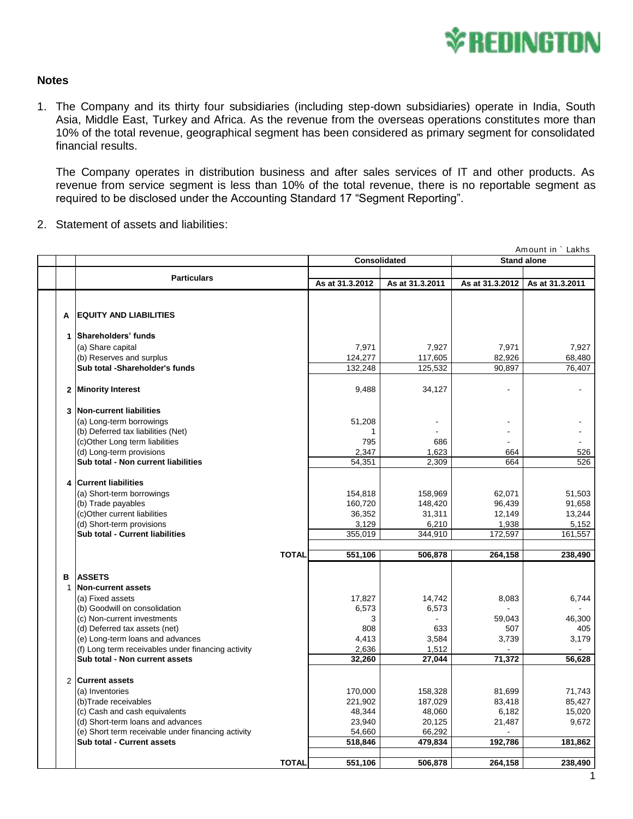

## **Notes**

1. The Company and its thirty four subsidiaries (including step-down subsidiaries) operate in India, South Asia, Middle East, Turkey and Africa. As the revenue from the overseas operations constitutes more than 10% of the total revenue, geographical segment has been considered as primary segment for consolidated financial results.

The Company operates in distribution business and after sales services of IT and other products. As revenue from service segment is less than 10% of the total revenue, there is no reportable segment as required to be disclosed under the Accounting Standard 17 "Segment Reporting".

|    |   | revenue from service segment is less than 10% of the total revenue, there is no reportable segment as<br>required to be disclosed under the Accounting Standard 17 "Segment Reporting". |              |                     |                 |                    |                   |
|----|---|-----------------------------------------------------------------------------------------------------------------------------------------------------------------------------------------|--------------|---------------------|-----------------|--------------------|-------------------|
| 2. |   | Statement of assets and liabilities:                                                                                                                                                    |              |                     |                 |                    |                   |
|    |   |                                                                                                                                                                                         |              |                     |                 |                    | Amount in ` Lakhs |
|    |   |                                                                                                                                                                                         |              | <b>Consolidated</b> |                 | <b>Stand alone</b> |                   |
|    |   | <b>Particulars</b>                                                                                                                                                                      |              | As at 31.3.2012     | As at 31.3.2011 | As at 31.3.2012    | As at 31.3.2011   |
|    |   |                                                                                                                                                                                         |              |                     |                 |                    |                   |
|    | A | <b>EQUITY AND LIABILITIES</b>                                                                                                                                                           |              |                     |                 |                    |                   |
|    |   | 1 Shareholders' funds                                                                                                                                                                   |              |                     |                 |                    |                   |
|    |   | (a) Share capital                                                                                                                                                                       |              | 7,971               | 7,927           | 7,971              | 7,927             |
|    |   | (b) Reserves and surplus                                                                                                                                                                |              | 124,277             | 117,605         | 82,926             | 68,480            |
|    |   | Sub total -Shareholder's funds                                                                                                                                                          |              | 132,248             | 125,532         | 90,897             | 76,407            |
|    |   | 2 Minority Interest                                                                                                                                                                     |              | 9,488               | 34,127          |                    |                   |
|    |   | 3   Non-current liabilities                                                                                                                                                             |              |                     |                 |                    |                   |
|    |   | (a) Long-term borrowings                                                                                                                                                                |              | 51,208              |                 |                    |                   |
|    |   | (b) Deferred tax liabilities (Net)                                                                                                                                                      |              | 1                   |                 |                    |                   |
|    |   | (c)Other Long term liabilities                                                                                                                                                          |              | 795                 | 686             |                    |                   |
|    |   | (d) Long-term provisions<br>Sub total - Non current liabilities                                                                                                                         |              | 2,347<br>54,351     | 1,623<br>2,309  | 664<br>664         | 526<br>526        |
|    |   |                                                                                                                                                                                         |              |                     |                 |                    |                   |
|    |   | 4 Current liabilities                                                                                                                                                                   |              |                     |                 |                    |                   |
|    |   | (a) Short-term borrowings                                                                                                                                                               |              | 154,818             | 158,969         | 62,071             | 51,503            |
|    |   | (b) Trade payables                                                                                                                                                                      |              | 160,720             | 148,420         | 96,439             | 91,658            |
|    |   | (c)Other current liabilities<br>(d) Short-term provisions                                                                                                                               |              | 36,352<br>3,129     | 31,311<br>6,210 | 12,149<br>1,938    | 13,244<br>5,152   |
|    |   | Sub total - Current liabilities                                                                                                                                                         |              | 355,019             | 344,910         | 172,597            | 161,557           |
|    |   |                                                                                                                                                                                         |              |                     |                 |                    |                   |
|    |   |                                                                                                                                                                                         | <b>TOTAL</b> | 551,106             | 506,878         | 264,158            | 238,490           |
|    | в | <b>ASSETS</b>                                                                                                                                                                           |              |                     |                 |                    |                   |
|    | 1 | Non-current assets                                                                                                                                                                      |              |                     |                 |                    |                   |
|    |   | (a) Fixed assets                                                                                                                                                                        |              | 17,827              | 14,742          | 8,083              | 6,744             |
|    |   | (b) Goodwill on consolidation                                                                                                                                                           |              | 6,573               | 6,573           |                    |                   |
|    |   | (c) Non-current investments                                                                                                                                                             |              | 3                   |                 | 59,043             | 46,300            |
|    |   | (d) Deferred tax assets (net)<br>(e) Long-term loans and advances                                                                                                                       |              | 808<br>4,413        | 633<br>3,584    | 507<br>3,739       | 405<br>3,179      |
|    |   | (f) Long term receivables under financing activity                                                                                                                                      |              | 2,636               | 1,512           |                    |                   |
|    |   | Sub total - Non current assets                                                                                                                                                          |              | 32,260              | 27,044          | 71,372             | 56,628            |
|    |   | 2 Current assets                                                                                                                                                                        |              |                     |                 |                    |                   |
|    |   | (a) Inventories                                                                                                                                                                         |              | 170,000             | 158,328         | 81,699             | 71,743            |
|    |   | (b)Trade receivables                                                                                                                                                                    |              | 221,902             | 187,029         | 83,418             | 85,427            |
|    |   | (c) Cash and cash equivalents                                                                                                                                                           |              | 48,344              | 48,060          | 6,182              | 15,020            |
|    |   | (d) Short-term loans and advances                                                                                                                                                       |              | 23,940              | 20,125          | 21,487             | 9,672             |
|    |   | (e) Short term receivable under financing activity                                                                                                                                      |              | 54,660              | 66,292          |                    |                   |
|    |   | Sub total - Current assets                                                                                                                                                              |              | 518,846             | 479,834         | 192,786            | 181,862           |
|    |   |                                                                                                                                                                                         | <b>TOTAL</b> | 551,106             | 506,878         | 264,158            | 238,490           |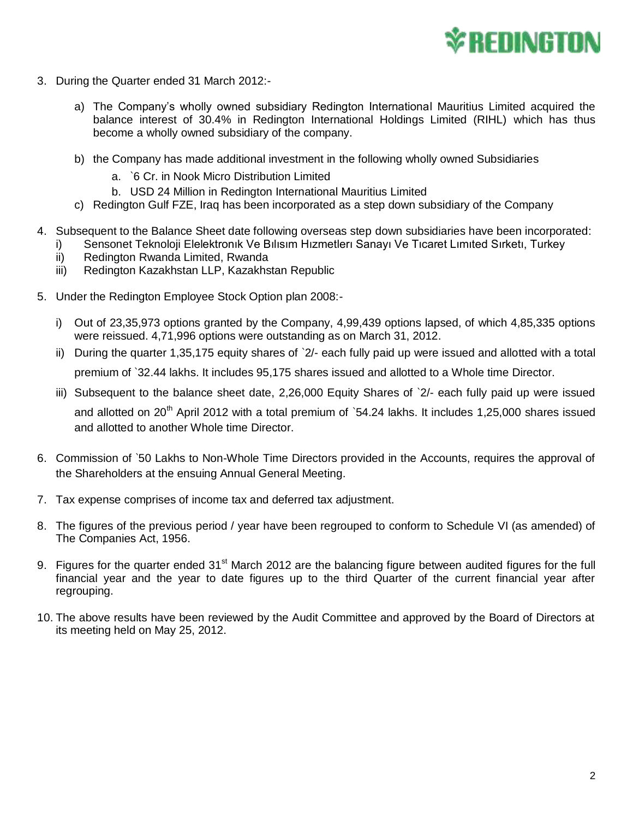

- 3. During the Quarter ended 31 March 2012:
	- a) The Company's wholly owned subsidiary Redington International Mauritius Limited acquired the balance interest of 30.4% in Redington International Holdings Limited (RIHL) which has thus become a wholly owned subsidiary of the company.
	- b) the Company has made additional investment in the following wholly owned Subsidiaries
		- a. `6 Cr. in Nook Micro Distribution Limited
		- b. USD 24 Million in Redington International Mauritius Limited
	- c) Redington Gulf FZE, Iraq has been incorporated as a step down subsidiary of the Company
- 4. Subsequent to the Balance Sheet date following overseas step down subsidiaries have been incorporated:
	- i) Sensonet Teknoloji Elelektronık Ve Bılısım Hızmetlerı Sanayı Ve Tıcaret Lımıted Sırketı, Turkey
	- ii) Redington Rwanda Limited, Rwanda
	- iii) Redington Kazakhstan LLP, Kazakhstan Republic
- 5. Under the Redington Employee Stock Option plan 2008:
	- i) Out of 23,35,973 options granted by the Company, 4,99,439 options lapsed, of which 4,85,335 options were reissued. 4,71,996 options were outstanding as on March 31, 2012.
	- ii) During the quarter 1,35,175 equity shares of `2/- each fully paid up were issued and allotted with a total premium of `32.44 lakhs. It includes 95,175 shares issued and allotted to a Whole time Director.
	- iii) Subsequent to the balance sheet date, 2,26,000 Equity Shares of `2/- each fully paid up were issued and allotted on 20<sup>th</sup> April 2012 with a total premium of `54.24 lakhs. It includes 1,25,000 shares issued

and allotted to another Whole time Director.

- 6. Commission of `50 Lakhs to Non-Whole Time Directors provided in the Accounts, requires the approval of the Shareholders at the ensuing Annual General Meeting.
- 7. Tax expense comprises of income tax and deferred tax adjustment.
- 8. The figures of the previous period / year have been regrouped to conform to Schedule VI (as amended) of The Companies Act, 1956.
- 9. Figures for the quarter ended 31<sup>st</sup> March 2012 are the balancing figure between audited figures for the full financial year and the year to date figures up to the third Quarter of the current financial year after regrouping.
- 10. The above results have been reviewed by the Audit Committee and approved by the Board of Directors at its meeting held on May 25, 2012.